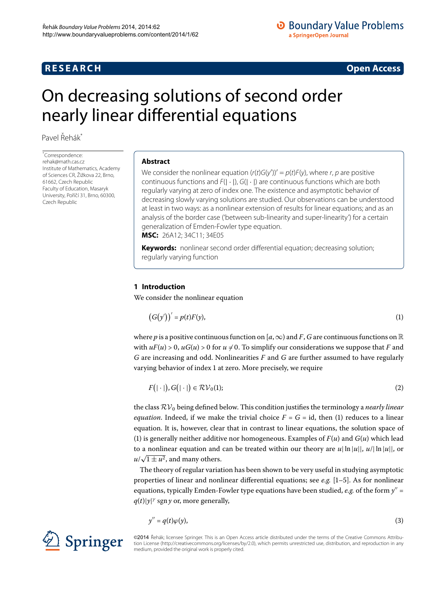# **R E S E A R C H Open Access**

<span id="page-0-1"></span>

# <span id="page-0-0"></span>On decreasing solutions of second order nearly linear differential equations

Pavel Řehák<sup>[\\*](#page-0-0)</sup>

\* Correspondence: [rehak@math.cas.cz](mailto:rehak@math.cas.cz) Institute of Mathematics, Academy of Sciences CR, Žižkova 22, Brno, 61662, Czech Republic Faculty of Education, Masaryk University, Poříčí 31, Brno, 60300, Czech Republic

## **Abstract**

We consider the nonlinear equation (r(t)G(y'))' =  $p$ (t)F(y), where r, p are positive continuous functions and  $F(|\cdot|)$ ,  $G(|\cdot|)$  are continuous functions which are both regularly varying at zero of index one. The existence and asymptotic behavior of decreasing slowly varying solutions are studied. Our observations can be understood at least in two ways: as a nonlinear extension of results for linear equations; and as an analysis of the border case ('between sub-linearity and super-linearity') for a certain generalization of Emden-Fowler type equation. **MSC:** 26A12; 34C11; 34E05

**Keywords:** nonlinear second order differential equation; decreasing solution; regularly varying function

# **1 Introduction**

We consider the nonlinear equation

<span id="page-0-3"></span>
$$
(G(y'))' = p(t)F(y),\tag{1}
$$

where *p* is a positive continuous function on [ $a, \infty$ ) and *F*, *G* are continuous functions on R with  $uF(u) > 0$ ,  $uG(u) > 0$  for  $u \neq 0$ . To simplify our considerations we suppose that *F* and *G* are increasing and odd. Nonlinearities *F* and *G* are further assumed to have regularly varying behavior of index 1 at zero. More precisely, we require

$$
F(|\cdot|), G(|\cdot|) \in \mathcal{RV}_0(1); \tag{2}
$$

the class  $\mathcal{RV}_0$  being defined below. This condition justifies the terminology a *nearly linear equation*. Indeed, if we make the trivial choice  $F = G = id$ , then (1) reduces to a linear equation. It is, however, clear that in contrast to linear equations, the solution space of (1[\)](#page-0-1) is generally neither additive nor homogeneous. Examples of  $F(u)$  and  $G(u)$  which lead to a nonlinear equation and can be treated within our theory are  $u|\ln |u|$ ,  $u/|\ln |u|$ , or  $u/\sqrt{1 \pm u^2}$ , and many others.

The theory of regular variation has been shown to be very useful in studying asymptotic properties of linear and nonlinear differential equations; see *e.g.* [\[](#page-12-0)1[–](#page-12-1)5]. As for nonlinear equations, typically Emden-Fowler type equations have been studied,  $e.g.$  of the form  $y'' =$  $q(t)|y|^{\gamma}$  sgn *y* or, more generally,

<span id="page-0-2"></span>
$$
y'' = q(t)\varphi(y),\tag{3}
$$



©2014 Řehák; licensee Springer. This is an Open Access article distributed under the terms of the Creative Commons Attribution License ([http://creativecommons.org/licenses/by/2.0\)](http://creativecommons.org/licenses/by/2.0), which permits unrestricted use, distribution, and reproduction in any medium, provided the original work is properly cited.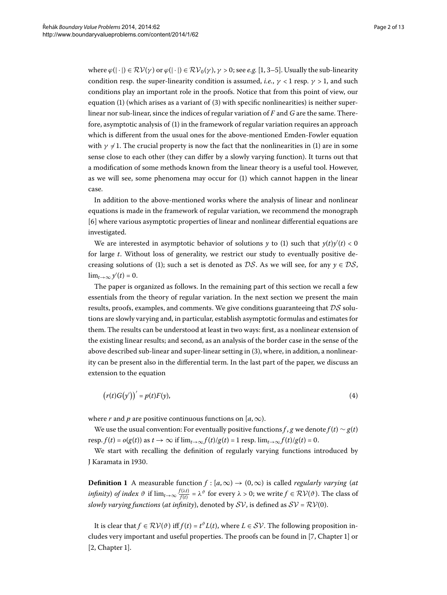where  $\varphi(\cdot) \in \mathcal{RV}(\gamma)$  or  $\varphi(\cdot) \in \mathcal{RV}_0(\gamma)$ ,  $\gamma > 0$ ; see *e.g.* [1, 3[–](#page-12-2)5]. Usually the sub-linearity condition resp. the super-linearity condition is assumed, *i.e.*,  $\gamma$  < 1 resp.  $\gamma$  > 1, and such conditions play an important role in the proofs. Notice that from this point of view, our equation  $(1)$  $(1)$  (which arises as a variant of  $(3)$  with specific nonlinearities) is neither superlinear nor sub-linear, since the indices of regular variation of *F* and *G* are the same. There-fore, asymptotic analysis of [\(](#page-0-1)1) in the framework of regular variation requires an approach which is different from the usual ones for the above-mentioned Emden-Fowler equation with  $\gamma \neq 1$ . The crucial property is now the fact that the nonlinearities in [\(](#page-0-1)1) are in some sense close to each other (they can differ by a slowly varying function). It turns out that a modification of some methods known from the linear theory is a useful tool. However, as we will see, some phenomena may occur for  $(1)$  $(1)$  which cannot happen in the linear case.

In addition to the above-mentioned works where the analysis of linear and nonlinear equations is made in the framework of regular variation, we recommend the monograph [6] where various asymptotic properties of linear and nonlinear differential equations are investigated.

We are interested in asymptotic behavior of solutions *y* to (1) such that  $y(t)y'(t) < 0$ for large *t*. Without loss of generality, we restrict our study to eventually positive de-creasing solutions of [\(](#page-0-1)1); such a set is denoted as  $DS$ . As we will see, for any  $y \in DS$ ,  $\lim_{t\to\infty} y'(t) = 0.$ 

The paper is organized as follows. In the remaining part of this section we recall a few essentials from the theory of regular variation. In the next section we present the main results, proofs, examples, and comments. We give conditions guaranteeing that  $DS$  solutions are slowly varying and, in particular, establish asymptotic formulas and estimates for them. The results can be understood at least in two ways: first, as a nonlinear extension of the existing linear results; and second, as an analysis of the border case in the sense of the above described sub-linear and super-linear setting in (3[\)](#page-0-2), where, in addition, a nonlinearity can be present also in the differential term. In the last part of the paper, we discuss an extension to the equation

<span id="page-1-0"></span>
$$
(r(t)G(y'))' = p(t)F(y),\tag{4}
$$

where *r* and *p* are positive continuous functions on  $[a, \infty)$ .

We use the usual convention: For eventually positive functions *f* , *g* we denote  $f(t) \sim g(t)$  $r \text{e} \text{erf}(t) = o(g(t))$  as  $t \to \infty$  if  $\lim_{t \to \infty} f(t)/g(t) = 1$  resp.  $\lim_{t \to \infty} f(t)/g(t) = 0$ .

We start with recalling the definition of regularly varying functions introduced by J Karamata in 1930.

**Definition 1** A measurable function  $f$  :  $[a, \infty) \rightarrow (0, \infty)$  is called *regularly varying* (*at infinity*) *of index*  $\vartheta$  if  $\lim_{t\to\infty} \frac{f(\lambda t)}{f(t)} = \lambda^{\vartheta}$  for every  $\lambda > 0$ ; we write  $f \in \mathcal{RV}(\vartheta)$ . The class of *slowly varying functions (at infinity)*, denoted by  $SV$ , is defined as  $SV = RV(0)$ .

It is clear that  $f \in \mathcal{RV}(\vartheta)$  iff  $f(t) = t^{\vartheta} L(t)$ , where  $L \in \mathcal{SV}$ . The following proposition in-cludes very important and useful properties. The proofs can be found in [\[](#page-12-4)7, Chapter 1] or  $[2, Chapter 1].$  $[2, Chapter 1].$  $[2, Chapter 1].$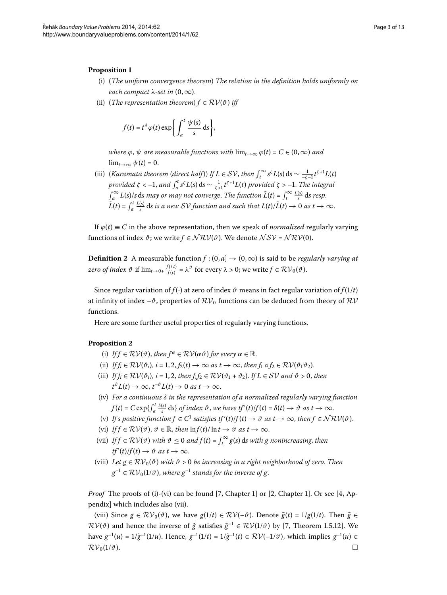#### **Proposition**

- (i) (*The uniform convergence theorem*) *The relation in the definition holds uniformly on each compact*  $\lambda$ -set in  $(0, \infty)$ .
- (ii) (*The representation theorem*)  $f \in \mathcal{RV}(\vartheta)$  *iff*

$$
f(t) = t^{\vartheta} \varphi(t) \exp\left\{ \int_a^t \frac{\psi(s)}{s} \, \mathrm{d}s \right\},\,
$$

*where*  $\varphi$ ,  $\psi$  *are measurable functions with*  $\lim_{t\to\infty} \varphi(t) = C \in (0,\infty)$  *and*  $\lim_{t\to\infty}\psi(t)=0.$ 

(iii) (*Karamata theorem* (*direct half*)) *If*  $L \in SV$ *, then*  $\int_t^\infty s^{\zeta} L(s) ds \sim \frac{1}{-\zeta-1} t^{\zeta+1} L(t)$ *provided ζ* < –1, *and*  $\int_{a}^{t} s^{\zeta} L(s) ds \sim \frac{1}{\zeta + 1} t^{\zeta + 1} L(t)$  *provided ζ* > –1. *The integral*  $\int_{a}^{\infty} L(s)/s \, ds$  *may or may not converge. The function*  $\tilde{L}(t) = \int_{t}^{\infty} \frac{L(s)}{s} \, ds$  *resp.*  $\tilde{L}(t) = \int_a^t \frac{L(s)}{s} ds$  is a new SV function and such that  $L(t)/\tilde{L}(t) \to 0$  as  $t \to \infty$ .

If  $\varphi(t) \equiv C$  in the above representation, then we speak of *normalized* regularly varying functions of index  $\vartheta$ ; we write  $f \in \mathcal{NRV}(\vartheta)$ . We denote  $\mathcal{NSV} = \mathcal{NRV}(0)$ .

**Definition 2** A measurable function  $f$  :  $(0, a] \rightarrow (0, \infty)$  is said to be *regularly varying at*  $zero\ of\ index\ \vartheta\ \text{ if}\ \lim_{t\to 0+}\frac{f(\lambda t)}{f(t)}=\lambda^{\vartheta}\ \text{ for every}\ \lambda>0; \text{ we write } f\in \mathcal{RV}_0(\vartheta).$ 

Since regular variation of *f*( $\cdot$ ) at zero of index  $\vartheta$  means in fact regular variation of *f*( $1/t$ ) at infinity of index  $-\vartheta$ , properties of  $\mathcal{RV}_0$  functions can be deduced from theory of  $\mathcal{RV}$ functions.

Here are some further useful properties of regularly varying functions.

### **Proposition**

- (i) *If*  $f \in \mathcal{RV}(\vartheta)$ , *then*  $f^{\alpha} \in \mathcal{RV}(\alpha\vartheta)$  *for every*  $\alpha \in \mathbb{R}$ .
- (ii) *If*  $f_i \in \mathcal{RV}(\vartheta_i)$ ,  $i = 1, 2, f_2(t) \to \infty$  as  $t \to \infty$ , then  $f_1 \circ f_2 \in \mathcal{RV}(\vartheta_1 \vartheta_2)$ .
- (iii) *If*  $f_i \in \mathcal{RV}(\vartheta_i)$ ,  $i = 1, 2$ , then  $f_1 f_2 \in \mathcal{RV}(\vartheta_1 + \vartheta_2)$ . If  $L \in \mathcal{SV}$  and  $\vartheta > 0$ , then  $t^{\vartheta} L(t) \to \infty$ ,  $t^{-\vartheta} L(t) \to 0$  as  $t \to \infty$ .
- (iv) *For a continuous δ in the representation of a normalized regularly varying function*  $f(t) = C \exp\{\int_a^t \frac{\delta(s)}{s} ds\}$  of index  $\vartheta$ , we have  $tf'(t)/f(t) = \delta(t) \to \vartheta$  as  $t \to \infty$ .
- (v) If s positive function  $f \in C^1$  satisfies  $tf'(t)/f(t) \to \vartheta$  as  $t \to \infty$ , then  $f \in \mathcal{NRV}(\vartheta)$ .
- (vi) *If*  $f \in \mathcal{RV}(\vartheta)$ ,  $\vartheta \in \mathbb{R}$ , then  $\ln f(t)/\ln t \to \vartheta$  as  $t \to \infty$ .
- (vii) *If*  $f \in RV(\vartheta)$  *with*  $\vartheta \le 0$  *and*  $f(t) = \int_t^\infty g(s) ds$  *with g nonincreasing*, *then*  $tf'(t)/f(t) \to \vartheta$  *as*  $t \to \infty$ .
- (viii) Let  $g \in \mathcal{RV}_0(\vartheta)$  *with*  $\vartheta > 0$  *be increasing in a right neighborhood of zero. Then*  $g^{-1} \in RV_0(1/\vartheta)$ , *where*  $g^{-1}$  *stands for the inverse of g*.

*Proof* The proofs of (i)-(vi) can be found [\[](#page-12-4)7[,](#page-12-5) Chapter 1] or [2, Chapter 1]. Or see [4, Appendix] which includes also (vii).

(viii) Since  $g \in \mathcal{RV}_0(\vartheta)$ , we have  $g(1/t) \in \mathcal{RV}(-\vartheta)$ . Denote  $\tilde{g}(t) = 1/g(1/t)$ . Then  $\tilde{g} \in$  $RV(\vartheta)$  and hence the inverse of  $\tilde{g}$  satisfies  $\tilde{g}^{-1} \in RV(1/\vartheta)$  by [7[,](#page-12-4) Theorem 1.5.12]. We have  $g^{-1}(u) = 1/\tilde{g}^{-1}(1/u)$ . Hence,  $g^{-1}(1/t) = 1/\tilde{g}^{-1}(t) \in \mathcal{RV}(-1/\vartheta)$ , which implies  $g^{-1}(u) \in$  $\mathcal{RV}_0(1/\vartheta)$ .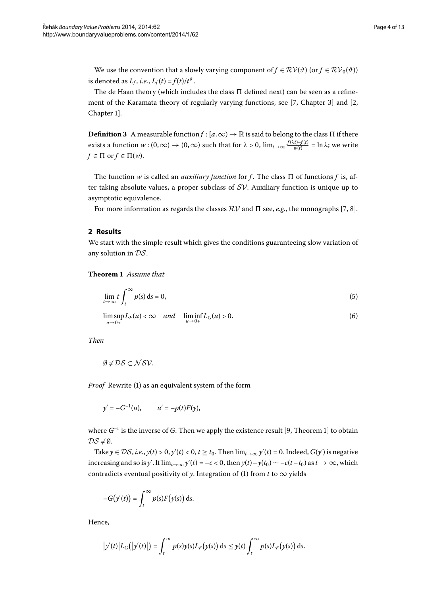We use the convention that a slowly varying component of  $f \in \mathcal{RV}(\vartheta)$  (or  $f \in \mathcal{RV}_0(\vartheta)$ ) is denoted as  $L_f$ , *i.e.*,  $L_f(t) = f(t)/t^{\vartheta}$ .

The de Haan theory (which includes the class  $\Pi$  defined next) can be seen as a refinement of the Karamata theory of regularly varying functions; see  $[7, Chapter 3]$  $[7, Chapter 3]$  $[7, Chapter 3]$  $[7, Chapter 3]$  and  $[2,$ Chapter 1].

**Definition 3** A measurable function  $f$  :  $[a,\infty) \to \mathbb{R}$  is said to belong to the class  $\Pi$  if there exists a function  $w:(0,\infty) \to (0,\infty)$  such that for  $\lambda > 0$ ,  $\lim_{t\to\infty} \frac{f(\lambda t) - f(t)}{w(t)} = \ln \lambda$ ; we write  $f \in \Pi$  or  $f \in \Pi(w)$ .

The function  $w$  is called an *auxiliary function* for  $f$ . The class  $\Pi$  of functions  $f$  is, after taking absolute values, a proper subclass of  $SV$ . Auxiliary function is unique up to asymptotic equivalence.

<span id="page-3-2"></span>For more information as regards the classes  $\mathcal{RV}$  and  $\Pi$  see, *e.g.*, the monographs [\[](#page-12-4)7, 8[\]](#page-12-7).

#### **2 Results**

We start with the simple result which gives the conditions guaranteeing slow variation of any solution in DS.

**Theorem**  *Assume that*

<span id="page-3-1"></span><span id="page-3-0"></span>
$$
\lim_{t \to \infty} t \int_{t}^{\infty} p(s) \, \mathrm{d}s = 0,\tag{5}
$$

$$
\limsup_{u \to 0+} L_F(u) < \infty \quad \text{and} \quad \liminf_{u \to 0+} L_G(u) > 0. \tag{6}
$$

*Then*

$$
\emptyset \neq \mathcal{DS} \subset \mathcal{NSV}.
$$

*Proof* Rewrite [\(](#page-0-1)1) as an equivalent system of the form

$$
y' = -G^{-1}(u)
$$
,  $u' = -p(t)F(y)$ ,

where  $G^{-1}$  is the inverse of  $G$ . Then we apply the existence result [9, Theorem 1] to obtain  $DS \neq \emptyset$ .

Take  $y \in DS$ , *i.e.*,  $y(t) > 0$ ,  $y'(t) < 0$ ,  $t \ge t_0$ . Then  $\lim_{t \to \infty} y'(t) = 0$ . Indeed,  $G(y')$  is negative increasing and so is *y'*. If  $\lim_{t\to\infty}$  *y'*(*t*) = –*c* < 0, then *y*(*t*)–*y*(*t*<sub>0</sub>)  $\sim$  –*c*(*t*–*t*<sub>0</sub>) as *t*  $\to \infty$ , which contradicts eventual positivity of *y*. Integration of [\(](#page-0-1)1) from *t* to  $\infty$  yields

$$
-G(y'(t)) = \int_t^\infty p(s) F(y(s)) \, \mathrm{d} s.
$$

Hence,

$$
\big|y'(t)\big|L_G\big(\big|y'(t)\big|\big)=\int_t^\infty p(s)y(s)L_F\big(y(s)\big)\,\mathrm{d} s\leq y(t)\int_t^\infty p(s)L_F\big(y(s)\big)\,\mathrm{d} s.
$$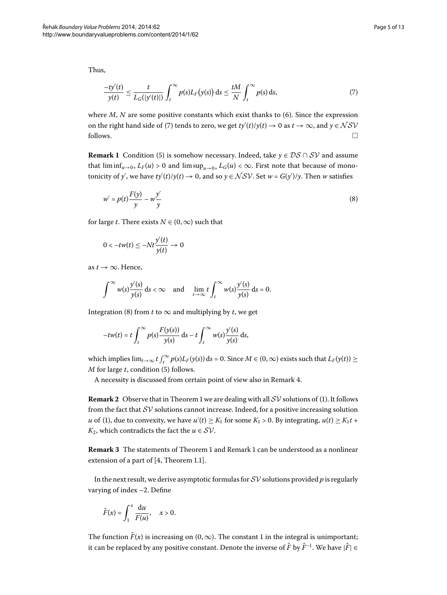<span id="page-4-1"></span><span id="page-4-0"></span>
$$
\frac{-ty'(t)}{y(t)} \le \frac{t}{L_G(|y'(t)|)} \int_t^{\infty} p(s) L_F(y(s)) \, ds \le \frac{tM}{N} \int_t^{\infty} p(s) \, ds,\tag{7}
$$

<span id="page-4-2"></span>where  $M$ ,  $N$  are some positive constants which exist thanks to [\(](#page-3-0)6). Since the expression on the right hand side of (7[\)](#page-4-0) tends to zero, we get  $ty'(t)/y(t) \to 0$  as  $t \to \infty$ , and  $y \in \mathcal{NSV}$  $\Box$  follows.

**Remark 1** Condition [\(](#page-3-1)5) is somehow necessary. Indeed, take  $y \in DS \cap SV$  and assume that  $\liminf_{u\to 0+} L_F(u) > 0$  and  $\limsup_{u\to 0+} L_G(u) < \infty$ . First note that because of monotonicity of *y'*, we have  $ty'(t)/y(t) \to 0$ , and so  $y \in \mathcal{NSV}$ . Set  $w = G(y')/y$ . Then *w* satisfies

$$
w' = p(t)\frac{F(y)}{y} - w\frac{y'}{y}
$$
\n(8)

for large *t*. There exists  $N \in (0, \infty)$  such that

$$
0 < -tw(t) \le -Nt \frac{y'(t)}{y(t)} \to 0
$$

as  $t \rightarrow \infty$ . Hence,

$$
\int_{-\infty}^{\infty} w(s) \frac{y'(s)}{y(s)} ds < \infty \quad \text{and} \quad \lim_{t \to \infty} t \int_{t}^{\infty} w(s) \frac{y'(s)}{y(s)} ds = 0.
$$

Integration (8[\)](#page-4-1) from *t* to  $\infty$  and multiplying by *t*, we get

$$
-tw(t) = t \int_t^{\infty} p(s) \frac{F(y(s))}{y(s)} ds - t \int_t^{\infty} w(s) \frac{y'(s)}{y(s)} ds,
$$

which implies  $\lim_{t\to\infty} t\int_t^{\infty} p(s)L_F(y(s)) ds = 0$ . Since  $M \in (0,\infty)$  exists such that  $L_F(y(t)) \ge$ *M* for large *t*, condition [\(](#page-3-1)5) follows.

A necessity is discussed from certain point of view also in Remark 4.

**Remark 2** Observe that in Theorem 1 we are dealing with all  $SV$  solutions of [\(](#page-0-1)1). It follows from the fact that  $SV$  solutions cannot increase. Indeed, for a positive increasing solution *u* of (1), due to convexity, we have  $u'(t) \geq K_1$  for some  $K_1 > 0$ . By integrating,  $u(t) \geq K_1 t +$ *K*<sub>2</sub>, which contradicts the fact the *u*  $\in$  *SV*.

**Remark 3** The statements of Theorem 1 and Remark 1 can be understood as a nonlinear extension of a part of  $[4,$  Theorem 1.1].

In the next result, we derive asymptotic formulas for SV solutions provided *p* is regularly varying of index  $-2$ . Define

$$
\hat{F}(x) = \int_1^x \frac{\mathrm{d}u}{F(u)}, \quad x > 0.
$$

The function  $\hat{F}(x)$  is increasing on  $(0, \infty)$ . The constant 1 in the integral is unimportant; it can be replaced by any positive constant. Denote the inverse of  $\hat{F}$  by  $\hat{F}^{-1}$ . We have  $|\hat{F}| \in$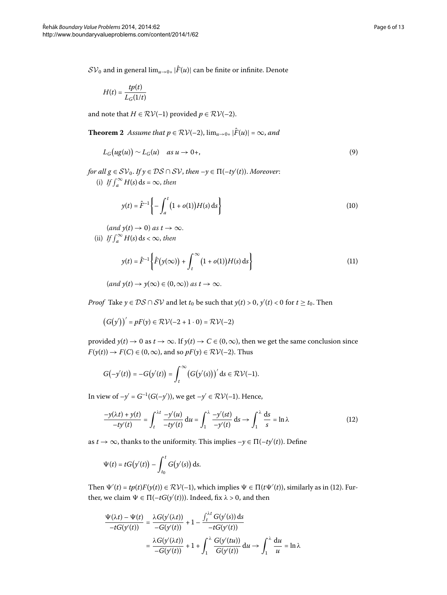<span id="page-5-4"></span> $SV_0$  and in general  $\lim_{u\to 0+} |\hat{F}(u)|$  can be finite or infinite. Denote

<span id="page-5-1"></span>
$$
H(t) = \frac{tp(t)}{L_G(1/t)}
$$

and note that *H*  $\in$  *RV*(-1) provided *p*  $\in$  *RV*(-2).

**Theorem 2** Assume that  $p \in RV(-2)$ ,  $\lim_{u \to 0+} |\hat{F}(u)| = \infty$ , and

$$
L_G\big(ug(u)\big) \sim L_G(u) \quad \text{as } u \to 0+, \tag{9}
$$

 $f$ *or all*  $g \in SV_0$ *. If*  $y \in DS \cap SV$ *, then*  $-y \in \Pi(-ty'(t))$ *. Moreover*: (i) If  $\int_{a}^{\infty} H(s) ds = \infty$ , then

<span id="page-5-3"></span><span id="page-5-2"></span>
$$
y(t) = \hat{F}^{-1} \left\{ - \int_{a}^{t} (1 + o(1)) H(s) \, \mathrm{d}s \right\} \tag{10}
$$

 $(and y(t) \rightarrow 0)$  *as*  $t \rightarrow \infty$ . (ii) *If*  $\int_a^{\infty} H(s) ds < \infty$ , then

$$
y(t) = \hat{F}^{-1} \left\{ \hat{F}(y(\infty)) + \int_{t}^{\infty} (1 + o(1)) H(s) \, ds \right\}
$$
 (11)

 $(\text{and } y(t) \to y(\infty) \in (0, \infty)) \text{ as } t \to \infty.$ 

*Proof* Take  $y \in DS \cap SV$  and let  $t_0$  be such that  $y(t) > 0$ ,  $y'(t) < 0$  for  $t \ge t_0$ . Then

<span id="page-5-0"></span> $(G(y'))' = pF(y) \in RV(-2 + 1 \cdot 0) = RV(-2)$ 

provided  $y(t) \to 0$  as  $t \to \infty$ . If  $y(t) \to C \in (0, \infty)$ , then we get the same conclusion since  $F(y(t)) \to F(C) \in (0, \infty)$ , and so  $pF(y) \in \mathcal{RV}(-2)$ . Thus

$$
G(-y'(t)) = -G(y'(t)) = \int_t^{\infty} (G(y'(s)))' ds \in \mathcal{RV}(-1).
$$

In view of  $-y' = G^{-1}(G(-y'))$ , we get  $-y' \in \mathcal{RV}(-1)$ . Hence,

$$
\frac{-y(\lambda t) + y(t)}{-t y'(t)} = \int_{t}^{\lambda t} \frac{-y'(u)}{-t y'(t)} du = \int_{1}^{\lambda} \frac{-y'(s t)}{-y'(t)} ds \to \int_{1}^{\lambda} \frac{ds}{s} = \ln \lambda
$$
\n(12)

as  $t \to \infty$ , thanks to the uniformity. This implies  $-y \in \Pi(-ty'(t))$ . Define

$$
\Psi(t) = tG(y'(t)) - \int_{t_0}^t G(y'(s)) \, \mathrm{d}s.
$$

Then  $\Psi'(t) = tp(t)F(y(t)) \in RV(-1)$  $\Psi'(t) = tp(t)F(y(t)) \in RV(-1)$  $\Psi'(t) = tp(t)F(y(t)) \in RV(-1)$ , which implies  $\Psi \in \Pi(t\Psi'(t))$ , similarly as in (12). Further, we claim  $\Psi \in \Pi(-tG(y'(t)))$ . Indeed, fix  $\lambda > 0$ , and then

$$
\frac{\Psi(\lambda t) - \Psi(t)}{-tG(y'(t))} = \frac{\lambda G(y'(\lambda t))}{-G(y'(t))} + 1 - \frac{\int_t^{\lambda t} G(y'(s)) ds}{-tG(y'(t))}
$$

$$
= \frac{\lambda G(y'(\lambda t))}{-G(y'(t))} + 1 + \int_1^{\lambda} \frac{G(y'(tu))}{G(y'(t))} du \to \int_1^{\lambda} \frac{du}{u} = \ln \lambda
$$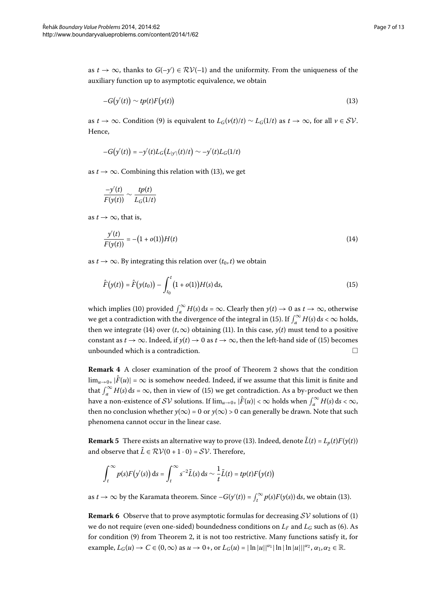as  $t \to \infty$ , thanks to  $G(-y') \in RV(-1)$  and the uniformity. From the uniqueness of the auxiliary function up to asymptotic equivalence, we obtain

<span id="page-6-1"></span>
$$
-G(y'(t)) \sim tp(t)F(y(t))
$$
\n(13)

as *t* → ∞. Condition (9) is equivalent to  $L_G(v(t)/t) \sim L_G(1/t)$  as  $t \to \infty$ , for all  $v \in SV$ . Hence,

$$
-G(y'(t)) = -y'(t)L_G(L_{|y'|}(t)/t) \sim -y'(t)L_G(1/t)
$$

as  $t \rightarrow \infty$ . Combining this relation with [\(](#page-6-1)13), we get

<span id="page-6-3"></span>
$$
\frac{-y'(t)}{F(y(t))} \sim \frac{tp(t)}{L_G(1/t)}
$$

as  $t \to \infty$ , that is,

<span id="page-6-2"></span>
$$
\frac{y'(t)}{F(y(t))} = -(1 + o(1))H(t)
$$
\n(14)

as  $t \to \infty$ . By integrating this relation over  $(t_0, t)$  we obtain

$$
\hat{F}(y(t)) = \hat{F}(y(t_0)) - \int_{t_0}^t (1 + o(1))H(s) \, ds,\tag{15}
$$

<span id="page-6-0"></span>which implies [\(](#page-5-2)10) provided  $\int_a^{\infty} H(s) ds = \infty$ . Clearly then  $y(t) \to 0$  as  $t \to \infty$ , otherwise we get a contradiction with the divergence of the integral in (15[\)](#page-6-2). If  $\int_a^{\infty} H(s) \, ds < \infty$  holds, then we integrate [\(](#page-6-3)14) over  $(t, \infty)$  obtaining (11). In this case,  $y(t)$  must tend to a positive constant as  $t \to \infty$ . Indeed, if  $y(t) \to 0$  $y(t) \to 0$  $y(t) \to 0$  as  $t \to \infty$ , then the left-hand side of (15) becomes unbounded which is a contradiction.  $\Box$ 

**Remark 4** A closer examination of the proof of Theorem 2 shows that the condition  $\lim_{u\to 0+} |\hat{F}(u)| = \infty$  is somehow needed. Indeed, if we assume that this limit is finite and that  $\int_{a}^{\infty} H(s) ds = \infty$  $\int_{a}^{\infty} H(s) ds = \infty$  $\int_{a}^{\infty} H(s) ds = \infty$ , then in view of (15) we get contradiction. As a by-product we then have a non-existence of SV solutions. If  $\lim_{u\to 0+} |\hat{F}(u)| < \infty$  holds when  $\int_a^{\infty} H(s) ds < \infty$ , then no conclusion whether  $y(\infty) = 0$  or  $y(\infty) > 0$  can generally be drawn. Note that such phenomena cannot occur in the linear case.

**Remark 5** There exists an alternative way to prove [\(](#page-6-1)13). Indeed, denote  $\tilde{L}(t) = L_p(t)F(y(t))$ and observe that  $\tilde{L} \in \mathcal{RV}(0 + 1 \cdot 0) = \mathcal{SV}$ . Therefore,

$$
\int_t^{\infty} p(s) F(y'(s)) ds = \int_t^{\infty} s^{-2} \tilde{L}(s) ds \sim \frac{1}{t} \tilde{L}(t) = tp(t) F(y(t))
$$

as  $t \to \infty$  by the Karamata theorem. Since  $-G(y'(t)) = \int_t^{\infty} p(s) F(y(s)) ds$  $-G(y'(t)) = \int_t^{\infty} p(s) F(y(s)) ds$  $-G(y'(t)) = \int_t^{\infty} p(s) F(y(s)) ds$ , we obtain (13).

**Remark 6** Observe that to prove asymptotic formulas for decreasing  $SV$  solutions of (1) we do not require (even one-sided) boundedness conditions on  $L_F$  and  $L_G$  such as (6). As for condition  $(9)$  $(9)$  from Theorem 2[,](#page-5-4) it is not too restrictive. Many functions satisfy it, for example,  $L_G(u) \to C \in (0,\infty)$  as  $u \to 0^+$ , or  $L_G(u) = |\ln |u||^{\alpha_1} |\ln |\ln |u|||^{\alpha_2}, \alpha_1, \alpha_2 \in \mathbb{R}$ .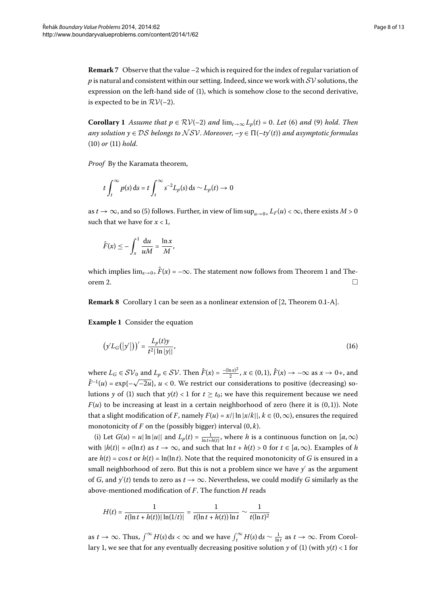<span id="page-7-0"></span>**Remark** 7 Observe that the value  $-2$  which is required for the index of regular variation of p is natural and consistent within our setting. Indeed, since we work with  $SV$  solutions, the expression on the left-hand side of (1[\)](#page-0-1), which is somehow close to the second derivative, is expected to be in  $RV(-2)$ .

**Corollary 1** Assume that  $p \in RV(-2)$  $p \in RV(-2)$  $p \in RV(-2)$  $p \in RV(-2)$  and  $\lim_{t\to\infty} L_p(t) = 0$ . Let (6) and (9) hold. Then *any solution y* ∈ DS *belongs to* NSV. *Moreover*, –*y* ∈ (–*ty*- (*t*)) *and asymptotic formulas*  $(10)$  $(10)$  or  $(11)$  hold.

*Proof* By the Karamata theorem,

$$
t\int_t^{\infty} p(s) ds = t \int_t^{\infty} s^{-2} L_p(s) ds \sim L_p(t) \to 0
$$

as  $t \to \infty$ , and so (5[\)](#page-3-1) follows. Further, in view of  $\limsup_{u \to 0+} L_F(u) < \infty$ , there exists  $M > 0$ such that we have for  $x < 1$ ,

$$
\hat{F}(x) \leq -\int_x^1 \frac{\mathrm{d}u}{uM} = \frac{\ln x}{M},
$$

which implies  $\lim_{x\to 0^+} \hat{F}(x) = -\infty$ . The statement now follows from Theorem 1 and Theorem 2.

**Remark 8** Corollary 1 can be seen as a nonlinear extension of [2[,](#page-12-5) Theorem 0.1-A].

**Example 1** Consider the equation

$$
(\mathbf{y}'L_G(|\mathbf{y}'|))' = \frac{L_p(t)\mathbf{y}}{t^2|\ln|\mathbf{y}|},\tag{16}
$$

where  $L_G \in SV_0$  and  $L_p \in SV$ . Then  $\hat{F}(x) = \frac{-(\ln x)^2}{2}$ ,  $x \in (0,1)$ ,  $\hat{F}(x) \to -\infty$  as  $x \to 0+$ , and  $\hat{F}^{-1}(u) = \exp\{-\sqrt{-2u}\}, u < 0$ . We restrict our considerations to positive (decreasing) solutions *y* of (1) such that  $y(t) < 1$  for  $t \ge t_0$ ; we have this requirement because we need  $F(u)$  to be increasing at least in a certain neighborhood of zero (here it is  $(0, 1)$ ). Note that a slight modification of *F*, namely  $F(u) = x/|\ln |x/k||$ ,  $k \in (0, \infty)$ , ensures the required monotonicity of  $F$  on the (possibly bigger) interval  $(0, k)$ .

(i) Let  $G(u) = u |\ln |u||$  and  $L_p(t) = \frac{1}{\ln t + h(t)}$ , where *h* is a continuous function on  $[a, \infty)$ with  $|h(t)| = o(\ln t)$  as  $t \to \infty$ , and such that  $\ln t + h(t) > 0$  for  $t \in [a, \infty)$ . Examples of *h* are  $h(t) = \cos t$  or  $h(t) = \ln(\ln t)$ . Note that the required monotonicity of *G* is ensured in a small neighborhood of zero. But this is not a problem since we have  $y^\prime$  as the argument of *G*, and  $y'(t)$  tends to zero as  $t \to \infty$ . Nevertheless, we could modify *G* similarly as the above-mentioned modification of *F*. The function *H* reads

$$
H(t) = \frac{1}{t(\ln t + h(t)) |\ln(1/t)|} = \frac{1}{t(\ln t + h(t)) \ln t} \sim \frac{1}{t(\ln t)^2}
$$

as  $t \to \infty$ . Thus,  $\int^{\infty} H(s) ds < \infty$  and we have  $\int_{t}^{\infty} H(s) ds \sim \frac{1}{\ln t}$  as  $t \to \infty$ . From Corol-lary 1[,](#page-7-0) we see that for any eventually decreasing positive solution *y* of [\(](#page-0-1)1) (with  $y(t) < 1$  for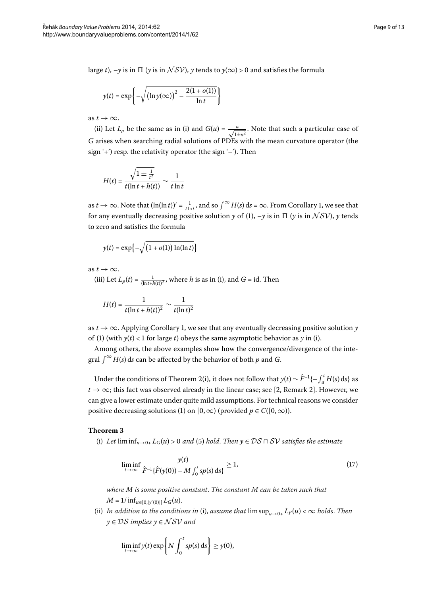large *t*),  $-y$  is in  $\Pi$  (*y* is in  $\mathcal{NSV}$ ), *y* tends to  $y(\infty) > 0$  and satisfies the formula

$$
y(t) = \exp\left\{-\sqrt{\left(\ln y(\infty)\right)^2 - \frac{2(1 + o(1))}{\ln t}}\right\}
$$

as  $t \to \infty$ .

(ii) Let  $L_p$  be the same as in (i) and  $G(u) = \frac{u}{\sqrt{1+u^2}}$ . Note that such a particular case of *G* arises when searching radial solutions of PDEs with the mean curvature operator (the sign  $'+$ ) resp. the relativity operator (the sign  $'-$ ). Then

$$
H(t) = \frac{\sqrt{1 \pm \frac{1}{t^2}}}{t(\ln t + h(t))} \sim \frac{1}{t \ln t}
$$

as  $t \to \infty$ . Note that  $(\ln(\ln t))' = \frac{1}{t \ln t}$ [,](#page-7-0) and so  $\int^{\infty} H(s) ds = \infty$ . From Corollary 1, we see that for any eventually decreasing positive solution  $y$  of (1[\)](#page-0-1),  $-y$  is in  $\Pi$  ( $y$  is in  $\mathcal{NSV}$ ),  $y$  tends to zero and satisfies the formula

$$
y(t) = \exp\left\{-\sqrt{\left(1 + o(1)\right)\ln(\ln t)}\right\}
$$

as  $t \to \infty$ .

(iii) Let  $L_p(t) = \frac{1}{(\ln t + h(t))^2}$ , where *h* is as in (i), and *G* = id. Then

$$
H(t) = \frac{1}{t(\ln t + h(t))^2} \sim \frac{1}{t(\ln t)^2}
$$

as  $t \to \infty$ . Applying Corollary 1[,](#page-7-0) we see that any eventually decreasing positive solution *y* of (1[\)](#page-0-1) (with  $y(t) < 1$  for large *t*) obeys the same asymptotic behavior as *y* in (i).

<span id="page-8-1"></span>Among others, the above examples show how the convergence/divergence of the integral  $\int_{-\infty}^{\infty} H(s) ds$  can be affected by the behavior of both p and *G*.

Under the conditions of Theorem 2[\(](#page-5-4)i), it does not follow that  $y(t) \sim \hat{F}^{-1}\{-\int_a^t H(s) ds\}$  as  $t \to \infty$ ; this fact was observed already in the linear case; see [\[](#page-12-5)2, Remark 2]. However, we can give a lower estimate under quite mild assumptions. For technical reasons we consider positive decreasing solutions [\(](#page-0-1)1) on [0, ∞) (provided  $p \in C([0,\infty))$ .

#### **Theorem**

[\(](#page-3-1)i) Let  $\liminf_{u\to 0^+} L_G(u) > 0$  and (5) hold. Then  $y \in DS \cap SV$  satisfies the estimate

<span id="page-8-0"></span>
$$
\liminf_{t \to \infty} \frac{y(t)}{\hat{F}^{-1}\{\hat{F}(y(0)) - M \int_0^t sp(s) \, ds\}} \ge 1,
$$
\n(17)

*where M is some positive constant*. *The constant M can be taken such that*  $M = 1/\inf_{u \in [0, |y'(0)|]} L_G(u).$ 

(ii) In addition to the conditions in (i), assume that  $\limsup_{u\to 0^+} L_F(u) < \infty$  holds. Then *y* ∈ DS *implies y* ∈ NSV *and*

$$
\liminf_{t\to\infty}y(t)\exp\bigg\{N\int_0^t sp(s)\,\mathrm{d} s\bigg\}\geq y(0),
$$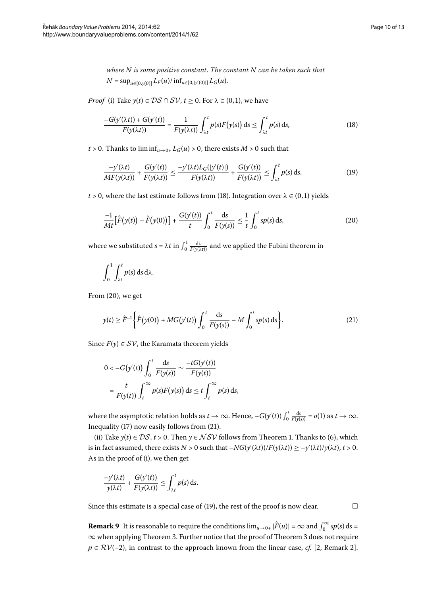<span id="page-9-0"></span>*where N is some positive constant*. *The constant N can be taken such that*  $N = \sup_{u \in [0, y(0)]} L_F(u) / \inf_{u \in [0, |y'(0)|]} L_G(u).$ 

*Proof* (i) Take  $y(t) \in DS \cap SV$ ,  $t \ge 0$ . For  $\lambda \in (0,1)$ , we have

<span id="page-9-3"></span>
$$
\frac{-G(y'(\lambda t)) + G(y'(t))}{F(y(\lambda t))} = \frac{1}{F(y(\lambda t))} \int_{\lambda t}^{t} p(s) F(y(s)) ds \le \int_{\lambda t}^{t} p(s) ds,
$$
\n(18)

 $t > 0$ . Thanks to  $\liminf_{u \to 0+} L_G(u) > 0$ , there exists  $M > 0$  such that

<span id="page-9-1"></span>
$$
\frac{-y'(\lambda t)}{MF(y(\lambda t))} + \frac{G(y'(t))}{F(y(\lambda t))} \le \frac{-y'(\lambda t)L_G(|y'(t)|)}{F(y(\lambda t))} + \frac{G(y'(t))}{F(y(\lambda t))} \le \int_{\lambda t}^t p(s) \, ds,\tag{19}
$$

 $t > 0$ , where the last estimate follows from (18[\)](#page-9-0). Integration over  $\lambda \in (0,1)$  yields

$$
\frac{-1}{Mt} \Big[ \hat{F}(y(t)) - \hat{F}(y(0)) \Big] + \frac{G(y'(t))}{t} \int_0^t \frac{ds}{F(y(s))} \le \frac{1}{t} \int_0^t sp(s) \, ds,\tag{20}
$$

where we substituted  $s = \lambda t$  in  $\int_0^1 \frac{d\lambda}{F(y(\lambda t))}$  and we applied the Fubini theorem in

<span id="page-9-2"></span>
$$
\int_0^1 \int_{\lambda t}^t p(s) \, \mathrm{d} s \, \mathrm{d} \lambda.
$$

From  $(20)$  $(20)$ , we get

$$
y(t) \ge \hat{F}^{-1} \left\{ \hat{F}(y(0)) + MG(y'(t)) \int_0^t \frac{ds}{F(y(s))} - M \int_0^t sp(s) \, ds \right\}.
$$
 (21)

Since  $F(y) \in SV$ , the Karamata theorem yields

$$
0 < -G(y'(t)) \int_0^t \frac{ds}{F(y(s))} \sim \frac{-tG(y'(t))}{F(y(t))}
$$
  
=  $\frac{t}{F(y(t))} \int_t^{\infty} p(s)F(y(s)) ds \le t \int_t^{\infty} p(s) ds,$ 

where the asymptotic relation holds as  $t \to \infty$ . Hence,  $-G(y'(t)) \int_0^t \frac{ds}{F(y(s))} = o(1)$  as  $t \to \infty$ . Inequality  $(17)$  $(17)$  now easily follows from  $(21)$ .

(ii) Take  $y(t) \in \mathcal{DS}$ ,  $t > 0$ [.](#page-3-2) Then  $y \in \mathcal{NSV}$  follows from Theorem 1. Thanks to (6), which is in fact assumed, there exists  $N > 0$  such that  $-NG(y'(\lambda t))/F(y(\lambda t)) \ge -y'(\lambda t)/y(\lambda t)$ ,  $t > 0$ . As in the proof of (i), we then get

$$
\frac{-y'(\lambda t)}{y(\lambda t)} + \frac{G(y'(t))}{F(y(\lambda t))} \leq \int_{\lambda t}^t p(s) \, ds.
$$

Since this estimate is a special case of [\(](#page-9-3)19), the rest of the proof is now clear.  $\Box$ 

**Remark 9** It is reasonable to require the conditions  $\lim_{u\to 0+} |\hat{F}(u)| = \infty$  and  $\int_0^\infty s p(s) ds =$  $\infty$  when applying Theorem 3[.](#page-8-1) Further notice that the proof of Theorem 3 does not require  $p \in RV(-2)$ [,](#page-12-5) in contrast to the approach known from the linear case, *cf.* [2, Remark 2].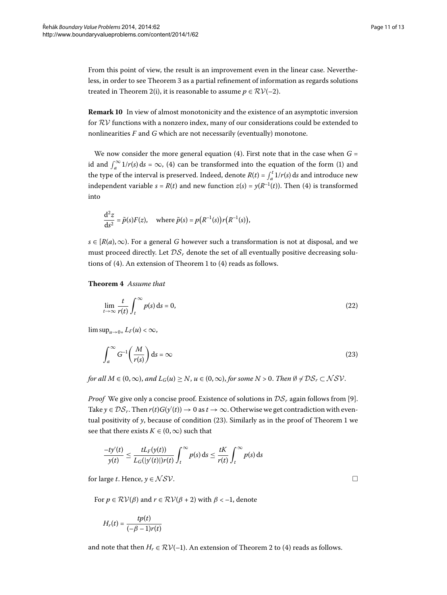From this point of view, the result is an improvement even in the linear case. Nevertheless, in order to see Theorem 3 as a partial refinement of information as regards solutions treated in Theorem 2(i), it is reasonable to assume  $p \in RV(-2)$ .

**Remark 10** In view of almost monotonicity and the existence of an asymptotic inversion for  $RV$  functions with a nonzero index, many of our considerations could be extended to nonlinearities *F* and *G* which are not necessarily (eventually) monotone.

We now consider the more general equation  $(4)$ . First note that in the case when  $G =$ id and  $\int_a^{\infty} 1/r(s) ds = \infty$ , (4) can be transformed into the equation of the form (1) and the type of the interval is preserved. Indeed, denote  $R(t) = \int_a^t 1/r(s) ds$  and introduce new independent variable  $s = R(t)$  $s = R(t)$  $s = R(t)$  and new function  $z(s) = \gamma(R^{-1}(t))$ . Then (4) is transformed into

<span id="page-10-1"></span>
$$
\frac{d^2z}{ds^2} = \tilde{p}(s)F(z), \quad \text{where } \tilde{p}(s) = p(R^{-1}(s))r(R^{-1}(s)),
$$

*s* ∈  $[R(a), \infty)$ . For a general *G* however such a transformation is not at disposal, and we must proceed directly. Let  $\mathcal{DS}_r$  denote the set of all eventually positive decreasing solutions of  $(4)$  $(4)$ . An extension of Theorem 1 to  $(4)$  reads as follows.

**Theorem**  *Assume that*

$$
\lim_{t \to \infty} \frac{t}{r(t)} \int_{t}^{\infty} p(s) \, \mathrm{d}s = 0,\tag{22}
$$

 $\limsup_{u\to 0+} L_F(u) < \infty$ ,

$$
\int_{a}^{\infty} G^{-1}\left(\frac{M}{r(s)}\right) ds = \infty
$$
\n(23)

*for all*  $M \in (0, \infty)$ , *and*  $L_G(u) \geq N$ ,  $u \in (0, \infty)$ , *for some*  $N > 0$ . *Then*  $\emptyset \neq \mathcal{DS}_r \subset \mathcal{NSV}$ .

*Proof* We give only a concise proof. Existence of solutions in  $\mathcal{DS}_r$  again follows from [9[\]](#page-12-8). Take  $y \in \mathcal{DS}_r$ . Then  $r(t)G(y'(t)) \to 0$  as  $t \to \infty$ . Otherwise we get contradiction with eventual positivity of  $\gamma$ , because of condition (23[\)](#page-10-0). Similarly as in the proof of Theorem 1 we see that there exists  $K \in (0, \infty)$  such that

$$
\frac{-ty'(t)}{y(t)} \le \frac{tL_F(y(t))}{L_G(|y'(t)|)r(t)} \int_t^{\infty} p(s) ds \le \frac{tK}{r(t)} \int_t^{\infty} p(s) ds
$$

for large *t*. Hence,  $y \in \mathcal{NSV}$ .

For  $p \in \mathcal{RV}(\beta)$  and  $r \in \mathcal{RV}(\beta + 2)$  with  $\beta < -1$ , denote

$$
H_r(t) = \frac{tp(t)}{(-\beta - 1)r(t)}
$$

and note that then  $H_r \in \mathcal{RV}(-1)$  $H_r \in \mathcal{RV}(-1)$ . An extension of Theorem 2 to (4) reads as follows.

<span id="page-10-0"></span>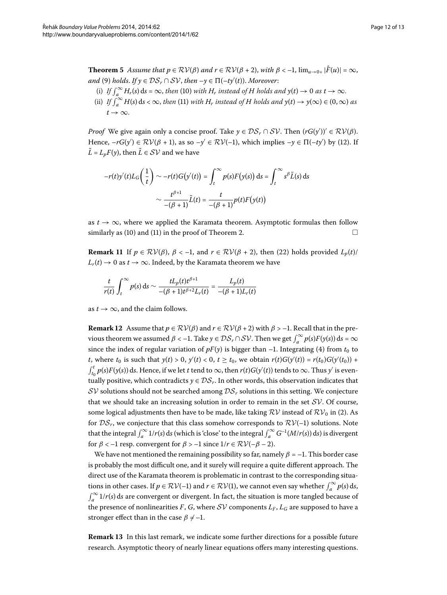**Theorem 5** Assume that  $p \in RV(\beta)$  and  $r \in RV(\beta + 2)$ , with  $\beta < -1$ ,  $\lim_{u \to 0+} |\hat{F}(u)| = \infty$ ,  $and (9) holds.$  $and (9) holds.$  $and (9) holds.$  *If*  $y \in DS_r \cap SV$ , then − $y \in \Pi(-ty'(t))$ . Moreover:

- [\(](#page-5-2)i) If  $\int_{a}^{\infty} H_r(s) ds = \infty$ , then (10) with  $H_r$  instead of  $H$  holds and  $y(t) \to 0$  as  $t \to \infty$ .
- [\(](#page-5-3)ii) *If*  $\int_{a}^{\infty} H(s) ds < \infty$ , *then* (11) *with*  $H_r$  *instead of*  $H$  *holds and*  $y(t) \to y(\infty) \in (0, \infty)$  *as*  $t \rightarrow \infty$ .

*Proof* We give again only a concise proof. Take  $y \in \mathcal{DS}_r \cap \mathcal{SV}$ . Then  $(rG(y'))' \in \mathcal{RV}(\beta)$ . Hence,  $-rG(y') \in \mathcal{RV}(\beta + 1)$ , as so  $-y' \in \mathcal{RV}(-1)$ , which implies  $-y \in \Pi(-ty')$  by (12). If  $\tilde{L} = L_p F(\gamma)$ , then  $\tilde{L} \in \mathcal{SV}$  and we have

$$
-r(t)y'(t)L_G\left(\frac{1}{t}\right) \sim -r(t)G(y'(t)) = \int_t^{\infty} p(s)F(y(s)) ds = \int_t^{\infty} s^{\beta} \tilde{L}(s) ds
$$

$$
\sim \frac{t^{\beta+1}}{-(\beta+1)} \tilde{L}(t) = \frac{t}{-(\beta+1)} p(t)F(y(t))
$$

as  $t \to \infty$ , where we applied the Karamata theorem. Asymptotic formulas then follow similarly as (10[\)](#page-5-2) and (11) in the proof of Theorem 2.  $\Box$ 

**Remark 11** If  $p \in \mathcal{RV}(\beta)$ ,  $\beta < -1$ , and  $r \in \mathcal{RV}(\beta + 2)$ , then (22) holds provided  $L_p(t)$ /  $L_r(t) \to 0$  as  $t \to \infty$ . Indeed, by the Karamata theorem we have

$$
\frac{t}{r(t)} \int_t^{\infty} p(s) \, ds \sim \frac{tL_p(t)t^{\beta+1}}{-(\beta+1)t^{\beta+2}L_r(t)} = \frac{L_p(t)}{-(\beta+1)L_r(t)}
$$

as  $t \to \infty$ , and the claim follows.

**Remark 12** Assume that  $p \in \mathcal{RV}(\beta)$  and  $r \in \mathcal{RV}(\beta + 2)$  with  $\beta > -1$ . Recall that in the previous theorem we assumed  $\beta < -1$ . Take  $y \in \mathcal{DS}_r \cap \mathcal{SV}$ . Then we get  $\int_a^{\infty} p(s) F(y(s)) ds = \infty$ since the index of regular variation of  $pF(y)$  is bigger than  $-1$ . Integrating (4) from  $t_0$  to *t*, where  $t_0$  is such that  $y(t) > 0$ ,  $y'(t) < 0$ ,  $t \ge t_0$ , we obtain  $r(t)G(y'(t)) = r(t_0)G(y'(t_0)) +$  $\int_{t_0}^t p(s) F(y(s)) \, ds$ . Hence, if we let *t* tend to ∞, then *r*(*t*)*G*(*y*<sup>-</sup>(*t*)) tends to ∞. Thus *y*<sup>-</sup> is eventually positive, which contradicts  $y \in \mathcal{DS}_r$ . In other words, this observation indicates that  $SV$  solutions should not be searched among  $DS<sub>r</sub>$  solutions in this setting. We conjecture that we should take an increasing solution in order to remain in the set  $SV$ . Of course, some logical adjustments then have to be made, like taking  $RV$  instead of  $RV_0$  in (2[\)](#page-0-3). As for  $DS_r$ , we conjecture that this class somehow corresponds to  $RV(-1)$  solutions. Note that the integral  $\int_a^{\infty} 1/r(s) ds$  (which is 'close' to the integral  $\int_a^{\infty} G^{-1}(M/r(s)) ds$ ) is divergent for  $\beta < -1$  resp. convergent for  $\beta > -1$  since  $1/r \in \mathcal{RV}(-\beta - 2)$ .

We have not mentioned the remaining possibility so far, namely  $\beta = -1$ . This border case is probably the most difficult one, and it surely will require a quite different approach. The direct use of the Karamata theorem is problematic in contrast to the corresponding situations in other cases. If  $p \in RV(-1)$  and  $r \in RV(1)$ , we cannot even say whether  $\int_a^{\infty} p(s) ds$ ,  $\int_{a}^{\infty} 1/r(s)$  ds are convergent or divergent. In fact, the situation is more tangled because of the presence of nonlinearities *F*, *G*, where *SV* components  $L_F$ ,  $L_G$  are supposed to have a stronger effect than in the case  $\beta \neq -1$ .

**Remark 13** In this last remark, we indicate some further directions for a possible future research. Asymptotic theory of nearly linear equations offers many interesting questions.